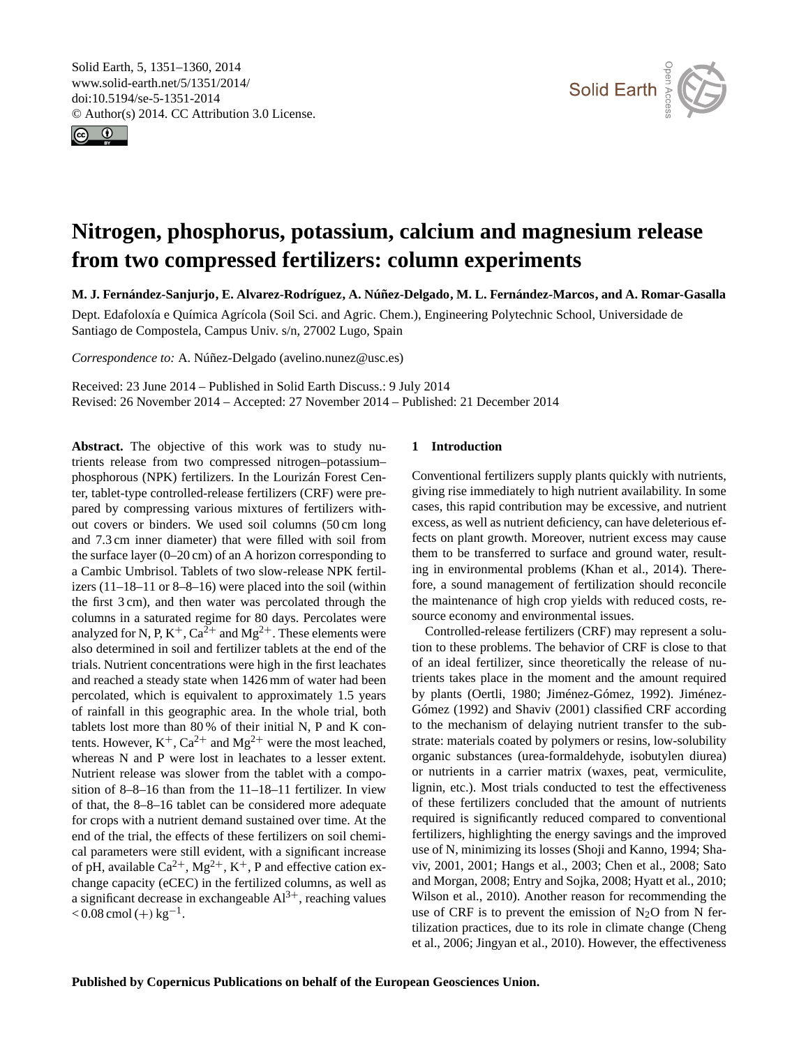<span id="page-0-0"></span>Solid Earth, 5, 1351–1360, 2014 www.solid-earth.net/5/1351/2014/ doi:10.5194/se-5-1351-2014 © Author(s) 2014. CC Attribution 3.0 License.





# **Nitrogen, phosphorus, potassium, calcium and magnesium release from two compressed fertilizers: column experiments**

**M. J. Fernández-Sanjurjo, E. Alvarez-Rodríguez, A. Núñez-Delgado, M. L. Fernández-Marcos, and A. Romar-Gasalla**

Dept. Edafoloxía e Química Agrícola (Soil Sci. and Agric. Chem.), Engineering Polytechnic School, Universidade de Santiago de Compostela, Campus Univ. s/n, 27002 Lugo, Spain

*Correspondence to:* A. Núñez-Delgado (avelino.nunez@usc.es)

Received: 23 June 2014 – Published in Solid Earth Discuss.: 9 July 2014 Revised: 26 November 2014 – Accepted: 27 November 2014 – Published: 21 December 2014

**Abstract.** The objective of this work was to study nutrients release from two compressed nitrogen–potassium– phosphorous (NPK) fertilizers. In the Lourizán Forest Center, tablet-type controlled-release fertilizers (CRF) were prepared by compressing various mixtures of fertilizers without covers or binders. We used soil columns (50 cm long and 7.3 cm inner diameter) that were filled with soil from the surface layer (0–20 cm) of an A horizon corresponding to a Cambic Umbrisol. Tablets of two slow-release NPK fertilizers (11–18–11 or 8–8–16) were placed into the soil (within the first 3 cm), and then water was percolated through the columns in a saturated regime for 80 days. Percolates were analyzed for N, P,  $K^+$ ,  $Ca^{2+}$  and  $Mg^{2+}$ . These elements were also determined in soil and fertilizer tablets at the end of the trials. Nutrient concentrations were high in the first leachates and reached a steady state when 1426 mm of water had been percolated, which is equivalent to approximately 1.5 years of rainfall in this geographic area. In the whole trial, both tablets lost more than 80 % of their initial N, P and K contents. However,  $K^+$ ,  $Ca^{2+}$  and  $Mg^{2+}$  were the most leached, whereas N and P were lost in leachates to a lesser extent. Nutrient release was slower from the tablet with a composition of 8–8–16 than from the 11–18–11 fertilizer. In view of that, the 8–8–16 tablet can be considered more adequate for crops with a nutrient demand sustained over time. At the end of the trial, the effects of these fertilizers on soil chemical parameters were still evident, with a significant increase of pH, available  $Ca^{2+}$ ,  $Mg^{2+}$ ,  $K^+$ , P and effective cation exchange capacity (eCEC) in the fertilized columns, as well as a significant decrease in exchangeable  $Al^{3+}$ , reaching values  $< 0.08$  cmol (+) kg<sup>-1</sup>.

# **1 Introduction**

Conventional fertilizers supply plants quickly with nutrients, giving rise immediately to high nutrient availability. In some cases, this rapid contribution may be excessive, and nutrient excess, as well as nutrient deficiency, can have deleterious effects on plant growth. Moreover, nutrient excess may cause them to be transferred to surface and ground water, resulting in environmental problems (Khan et al., 2014). Therefore, a sound management of fertilization should reconcile the maintenance of high crop yields with reduced costs, resource economy and environmental issues.

Controlled-release fertilizers (CRF) may represent a solution to these problems. The behavior of CRF is close to that of an ideal fertilizer, since theoretically the release of nutrients takes place in the moment and the amount required by plants (Oertli, 1980; Jiménez-Gómez, 1992). Jiménez-Gómez (1992) and Shaviv (2001) classified CRF according to the mechanism of delaying nutrient transfer to the substrate: materials coated by polymers or resins, low-solubility organic substances (urea-formaldehyde, isobutylen diurea) or nutrients in a carrier matrix (waxes, peat, vermiculite, lignin, etc.). Most trials conducted to test the effectiveness of these fertilizers concluded that the amount of nutrients required is significantly reduced compared to conventional fertilizers, highlighting the energy savings and the improved use of N, minimizing its losses (Shoji and Kanno, 1994; Shaviv, 2001, 2001; Hangs et al., 2003; Chen et al., 2008; Sato and Morgan, 2008; Entry and Sojka, 2008; Hyatt et al., 2010; Wilson et al., 2010). Another reason for recommending the use of CRF is to prevent the emission of  $N_2O$  from N fertilization practices, due to its role in climate change (Cheng et al., 2006; Jingyan et al., 2010). However, the effectiveness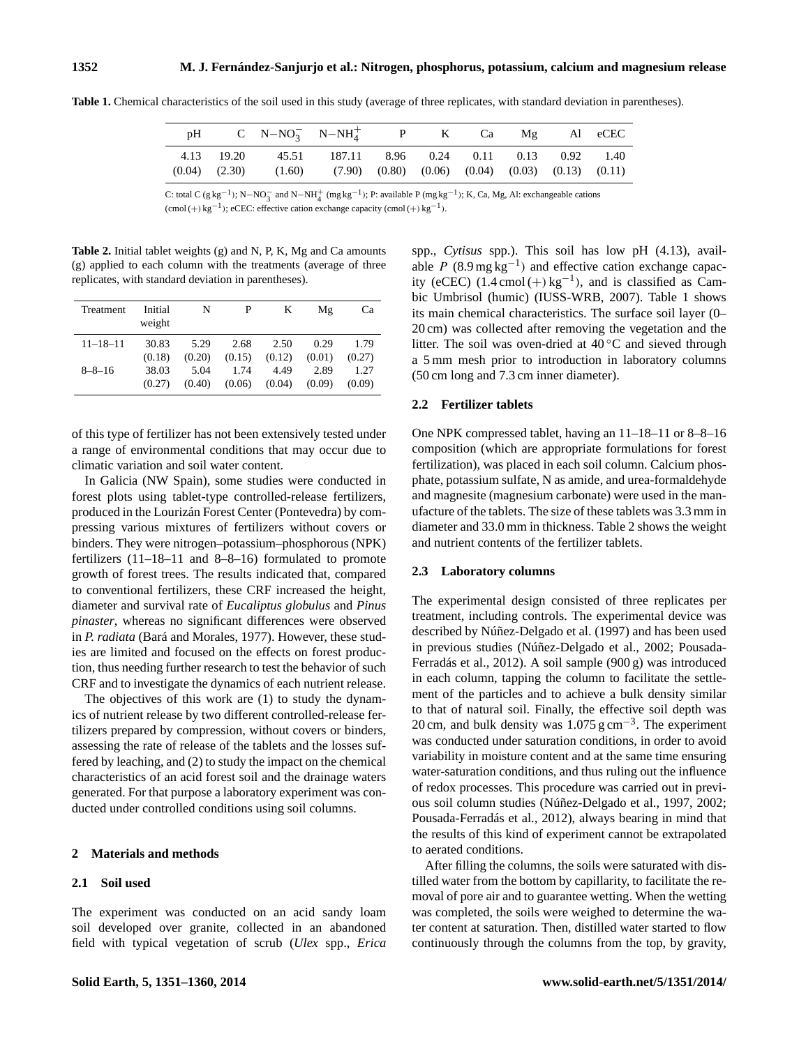|  | pH C N-NO <sub>3</sub> N-NH <sub>4</sub> <sup>+</sup> P K Ca Mg Al eCEC                                                                            |  |  |  |
|--|----------------------------------------------------------------------------------------------------------------------------------------------------|--|--|--|
|  | 4.13 19.20 45.51 187.11 8.96 0.24 0.11 0.13 0.92 1.40<br>$(0.04)$ $(2.30)$ $(1.60)$ $(7.90)$ $(0.80)$ $(0.06)$ $(0.04)$ $(0.03)$ $(0.13)$ $(0.11)$ |  |  |  |

**Table 1.** Chemical characteristics of the soil used in this study (average of three replicates, with standard deviation in parentheses).

C: total C (g kg<sup>-1</sup>); N-NO<sub>3</sub> and N-NH<sub>4</sub><sup>+</sup> (mg kg<sup>-1</sup>); P: available P (mg kg<sup>-1</sup>); K, Ca, Mg, Al: exchangeable cations  $(\text{cmol } (+) \text{ kg}^{-1})$ ; eCEC: effective cation exchange capacity  $(\text{cmol } (+) \text{ kg}^{-1})$ .

**Table 2.** Initial tablet weights (g) and N, P, K, Mg and Ca amounts (g) applied to each column with the treatments (average of three replicates, with standard deviation in parentheses).

| Treatment      | Initial<br>weight | N      | P      | K      | Mg     | Сa     |
|----------------|-------------------|--------|--------|--------|--------|--------|
| $11 - 18 - 11$ | 30.83             | 5.29   | 2.68   | 2.50   | 0.29   | 1.79   |
|                | (0.18)            | (0.20) | (0.15) | (0.12) | (0.01) | (0.27) |
| $8 - 8 - 16$   | 38.03             | 5.04   | 1.74   | 4.49   | 2.89   | 1.27   |
|                | (0.27)            | (0.40) | (0.06) | (0.04) | (0.09) | (0.09) |

of this type of fertilizer has not been extensively tested under a range of environmental conditions that may occur due to climatic variation and soil water content.

In Galicia (NW Spain), some studies were conducted in forest plots using tablet-type controlled-release fertilizers, produced in the Lourizán Forest Center (Pontevedra) by compressing various mixtures of fertilizers without covers or binders. They were nitrogen–potassium–phosphorous (NPK) fertilizers (11–18–11 and 8–8–16) formulated to promote growth of forest trees. The results indicated that, compared to conventional fertilizers, these CRF increased the height, diameter and survival rate of *Eucaliptus globulus* and *Pinus pinaster*, whereas no significant differences were observed in *P. radiata* (Bará and Morales, 1977). However, these studies are limited and focused on the effects on forest production, thus needing further research to test the behavior of such CRF and to investigate the dynamics of each nutrient release.

The objectives of this work are (1) to study the dynamics of nutrient release by two different controlled-release fertilizers prepared by compression, without covers or binders, assessing the rate of release of the tablets and the losses suffered by leaching, and (2) to study the impact on the chemical characteristics of an acid forest soil and the drainage waters generated. For that purpose a laboratory experiment was conducted under controlled conditions using soil columns.

# **2 Materials and methods**

# **2.1 Soil used**

The experiment was conducted on an acid sandy loam soil developed over granite, collected in an abandoned field with typical vegetation of scrub (*Ulex* spp., *Erica* spp., *Cytisus* spp.). This soil has low pH (4.13), available  $P(8.9 \text{ mg kg}^{-1})$  and effective cation exchange capacity (eCEC)  $(1.4 \text{ cmol} (+) \text{ kg}^{-1})$ , and is classified as Cambic Umbrisol (humic) (IUSS-WRB, 2007). Table 1 shows its main chemical characteristics. The surface soil layer (0– 20 cm) was collected after removing the vegetation and the litter. The soil was oven-dried at  $40\degree$ C and sieved through a 5 mm mesh prior to introduction in laboratory columns (50 cm long and 7.3 cm inner diameter).

# **2.2 Fertilizer tablets**

One NPK compressed tablet, having an 11–18–11 or 8–8–16 composition (which are appropriate formulations for forest fertilization), was placed in each soil column. Calcium phosphate, potassium sulfate, N as amide, and urea-formaldehyde and magnesite (magnesium carbonate) were used in the manufacture of the tablets. The size of these tablets was 3.3 mm in diameter and 33.0 mm in thickness. Table 2 shows the weight and nutrient contents of the fertilizer tablets.

## **2.3 Laboratory columns**

The experimental design consisted of three replicates per treatment, including controls. The experimental device was described by Núñez-Delgado et al. (1997) and has been used in previous studies (Núñez-Delgado et al., 2002; Pousada-Ferradás et al., 2012). A soil sample (900 g) was introduced in each column, tapping the column to facilitate the settlement of the particles and to achieve a bulk density similar to that of natural soil. Finally, the effective soil depth was 20 cm, and bulk density was 1.075 g cm<sup>-3</sup>. The experiment was conducted under saturation conditions, in order to avoid variability in moisture content and at the same time ensuring water-saturation conditions, and thus ruling out the influence of redox processes. This procedure was carried out in previous soil column studies (Núñez-Delgado et al., 1997, 2002; Pousada-Ferradás et al., 2012), always bearing in mind that the results of this kind of experiment cannot be extrapolated to aerated conditions.

After filling the columns, the soils were saturated with distilled water from the bottom by capillarity, to facilitate the removal of pore air and to guarantee wetting. When the wetting was completed, the soils were weighed to determine the water content at saturation. Then, distilled water started to flow continuously through the columns from the top, by gravity,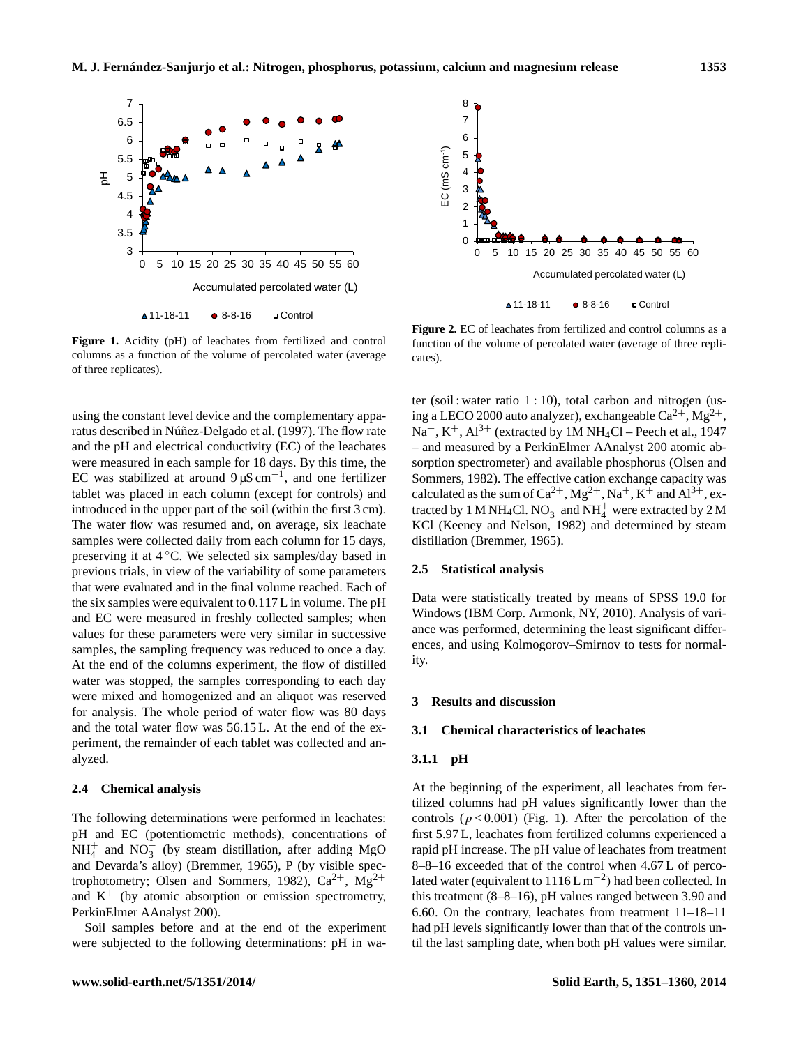

columns as a function of the volume of percolated water (average cates). **Figure 1.** Acidity (pH) of leachates from fertilized and control of three replicates).

using the constant level device and the complementary apparatus described in Núñez-Delgado et al. (1997). The flow rate and the pH and electrical conductivity (EC) of the leachates were measured in each sample for 18 days. By this time, the EC was stabilized at around  $9 \mu S \text{ cm}^{-1}$ , and one fertilizer tablet was placed in each column (except for controls) and introduced in the upper part of the soil (within the first 3 cm). The water flow was resumed and, on average, six leachate samples were collected daily from each column for 15 days, preserving it at  $4^{\circ}$ C. We selected six samples/day based in previous trials, in view of the variability of some parameters that were evaluated and in the final volume reached. Each of the six samples were equivalent to 0.117 L in volume. The pH and EC were measured in freshly collected samples; when values for these parameters were very similar in successive samples, the sampling frequency was reduced to once a day. At the end of the columns experiment, the flow of distilled water was stopped, the samples corresponding to each day were mixed and homogenized and an aliquot was reserved for analysis. The whole period of water flow was 80 days and the total water flow was 56.15 L. At the end of the experiment, the remainder of each tablet was collected and analyzed.

# **2.4 Chemical analysis**

The following determinations were performed in leachates: pH and EC (potentiometric methods), concentrations of  $NH_4^+$  and  $NO_3^-$  (by steam distillation, after adding MgO and Devarda's alloy) (Bremmer, 1965), P (by visible spectrophotometry; Olsen and Sommers, 1982),  $Ca^{2+}$ ,  $Mg^{2+}$ and  $K^+$  (by atomic absorption or emission spectrometry, PerkinElmer AAnalyst 200).

Soil samples before and at the end of the experiment



function of the volume of percolated water (average of three repli- $\frac{1}{2}$  percolated water (average of three replications). **Figure 2.** EC of leachates from fertilized and control columns as a cates).

ter (soil : water ratio 1 : 10), total carbon and nitrogen (using a LECO 2000 auto analyzer), exchangeable  $Ca^{2+}$ ,  $Mg^{2+}$ ,  $Na^+$ ,  $K^+$ ,  $Al^{3+}$  (extracted by 1M NH<sub>4</sub>Cl – Peech et al., 1947 – and measured by a PerkinElmer AAnalyst 200 atomic absorption spectrometer) and available phosphorus (Olsen and Sommers, 1982). The effective cation exchange capacity was calculated as the sum of  $Ca^{2+}$ ,  $Mg^{2+}$ ,  $Na^+$ ,  $K^+$  and  $Al^{3+}$ , extracted by 1 M NH<sub>4</sub>Cl. NO<sub>3</sub> and NH<sup>+</sup><sub>4</sub> were extracted by 2 M KCl (Keeney and Nelson, 1982) and determined by steam distillation (Bremmer, 1965).

## **2.5 Statistical analysis**

Data were statistically treated by means of SPSS 19.0 for Windows (IBM Corp. Armonk, NY, 2010). Analysis of variance was performed, determining the least significant differences, and using Kolmogorov–Smirnov to tests for normality.

# **3 Results and discussion**

#### **3.1 Chemical characteristics of leachates**

# **3.1.1 pH**

8-8-16 exceeded that of the control when 4.67 L of perco-The following determinations were performed in leachates:<br>
pH and EC (potentiometric methods), concentrations of first 5.97 L, leachates from fertilized columns experienced a<br>
NH<sup>+</sup><sub>4</sub> and NO<sub>3</sub> (by steam distillation, af At the beginning of the experiment, all leachates from fertilized columns had pH values significantly lower than the controls  $(p < 0.001)$  (Fig. 1). After the percolation of the first 5.97 L, leachates from fertilized columns experienced a rapid pH increase. The pH value of leachates from treatment lated water (equivalent to 1116 L m<sup>-2</sup>) had been collected. In this treatment (8–8–16), pH values ranged between 3.90 and 6.60. On the contrary, leachates from treatment 11–18–11 had pH levels significantly lower than that of the controls until the last sampling date, when both pH values were similar.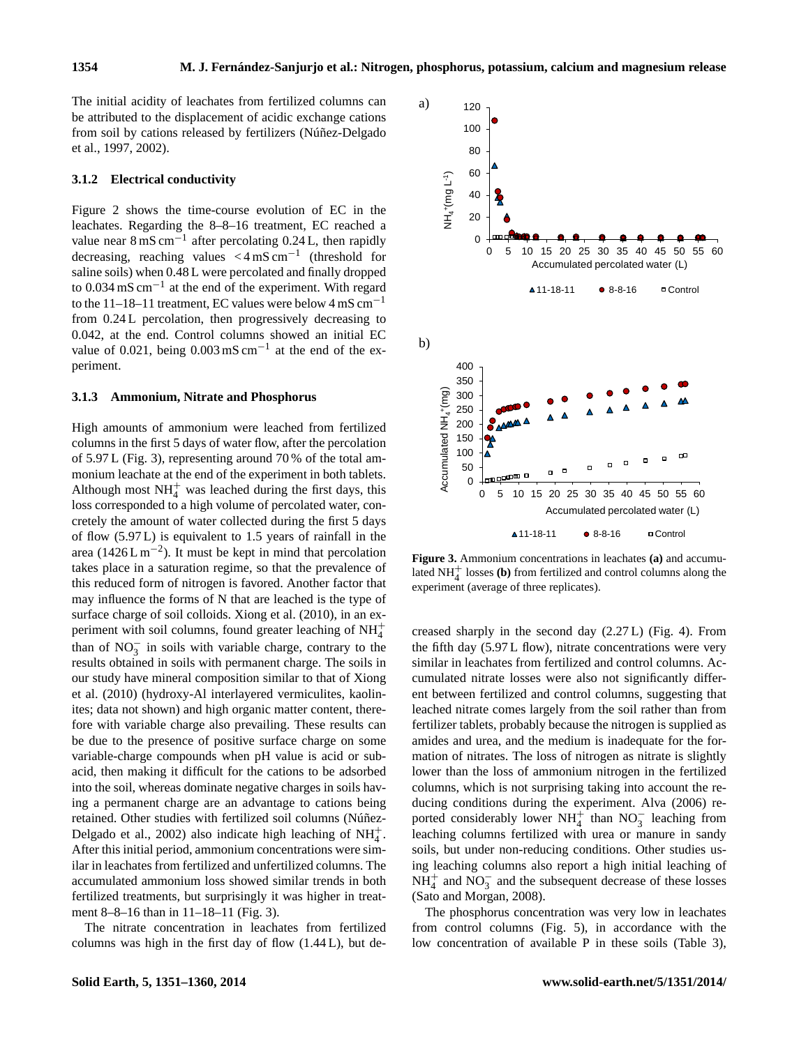The initial acidity of leachates from fertilized columns can be attributed to the displacement of acidic exchange cations from soil by cations released by fertilizers (Núñez-Delgado et al., 1997, 2002).

# **3.1.2 Electrical conductivity**

Figure 2 shows the time-course evolution of EC in the leachates. Regarding the 8–8–16 treatment, EC reached a value near  $8 \text{ mS cm}^{-1}$  after percolating 0.24 L, then rapidly decreasing, reaching values  $\lt 4 \text{ mS cm}^{-1}$  (threshold for saline soils) when 0.48 L were percolated and finally dropped to 0.034 mS cm<sup>-1</sup> at the end of the experiment. With regard to the 11–18–11 treatment, EC values were below 4 mS cm−<sup>1</sup> from 0.24 L percolation, then progressively decreasing to 0.042, at the end. Control columns showed an initial EC value of 0.021, being  $0.003 \text{ mS cm}^{-1}$  at the end of the experiment.

#### **3.1.3 Ammonium, Nitrate and Phosphorus**

High amounts of ammonium were leached from fertilized columns in the first 5 days of water flow, after the percolation of 5.97 L (Fig. 3), representing around 70 % of the total ammonium leachate at the end of the experiment in both tablets. Although most  $NH<sub>4</sub><sup>+</sup>$  was leached during the first days, this loss corresponded to a high volume of percolated water, concretely the amount of water collected during the first 5 days of flow (5.97 L) is equivalent to 1.5 years of rainfall in the area (1426 L m<sup>-2</sup>). It must be kept in mind that percolation takes place in a saturation regime, so that the prevalence of this reduced form of nitrogen is favored. Another factor that may influence the forms of N that are leached is the type of surface charge of soil colloids. Xiong et al. (2010), in an experiment with soil columns, found greater leaching of  $NH_4^+$ than of  $NO_3^-$  in soils with variable charge, contrary to the results obtained in soils with permanent charge. The soils in our study have mineral composition similar to that of Xiong et al. (2010) (hydroxy-Al interlayered vermiculites, kaolinites; data not shown) and high organic matter content, therefore with variable charge also prevailing. These results can be due to the presence of positive surface charge on some variable-charge compounds when pH value is acid or subacid, then making it difficult for the cations to be adsorbed into the soil, whereas dominate negative charges in soils having a permanent charge are an advantage to cations being retained. Other studies with fertilized soil columns (Núñez-Delgado et al., 2002) also indicate high leaching of  $NH_4^+$ . After this initial period, ammonium concentrations were similar in leachates from fertilized and unfertilized columns. The accumulated ammonium loss showed similar trends in both fertilized treatments, but surprisingly it was higher in treatment 8–8–16 than in 11–18–11 (Fig. 3). accumulated ammonium loss showed similar trends in both<br>fertilized treatments, but surprisingly it was higher in treat-<br>fertilized treatments, but surprisingly it was higher in treat-<br>ment 8–8–16 than in 11–18–11 (Fig. 3)

The nitrate concentration in leachates from fertilized



**Figure 3.** Ammonium concentrations in leachates **(a)** and accumulated NH<sup>+</sup><sub>4</sub> losses (**b**) from fertilized and control columns along the experiment (average of three replicates).

creased sharply in the second day (2.27 L) (Fig. 4). From the fifth day (5.97 L flow), nitrate concentrations were very similar in leachates from fertilized and control columns. Accumulated nitrate losses were also not significantly different between fertilized and control columns, suggesting that leached nitrate comes largely from the soil rather than from fertilizer tablets, probably because the nitrogen is supplied as amides and urea, and the medium is inadequate for the formation of nitrates. The loss of nitrogen as nitrate is slightly lower than the loss of ammonium nitrogen in the fertilized columns, which is not surprising taking into account the reducing conditions during the experiment. Alva (2006) reported considerably lower NH<sup>+</sup> than NO<sub>3</sub> leaching from leaching columns fertilized with urea or manure in sandy soils, but under non-reducing conditions. Other studies using leaching columns also report a high initial leaching of  $NH<sub>4</sub><sup>+</sup>$  and NO<sub>3</sub> and the subsequent decrease of these losses (Sato and Morgan, 2008).

The phosphorus concentration was very low in leachates from control columns (Fig. 5), in accordance with the low concentration of available P in these soils (Table 3),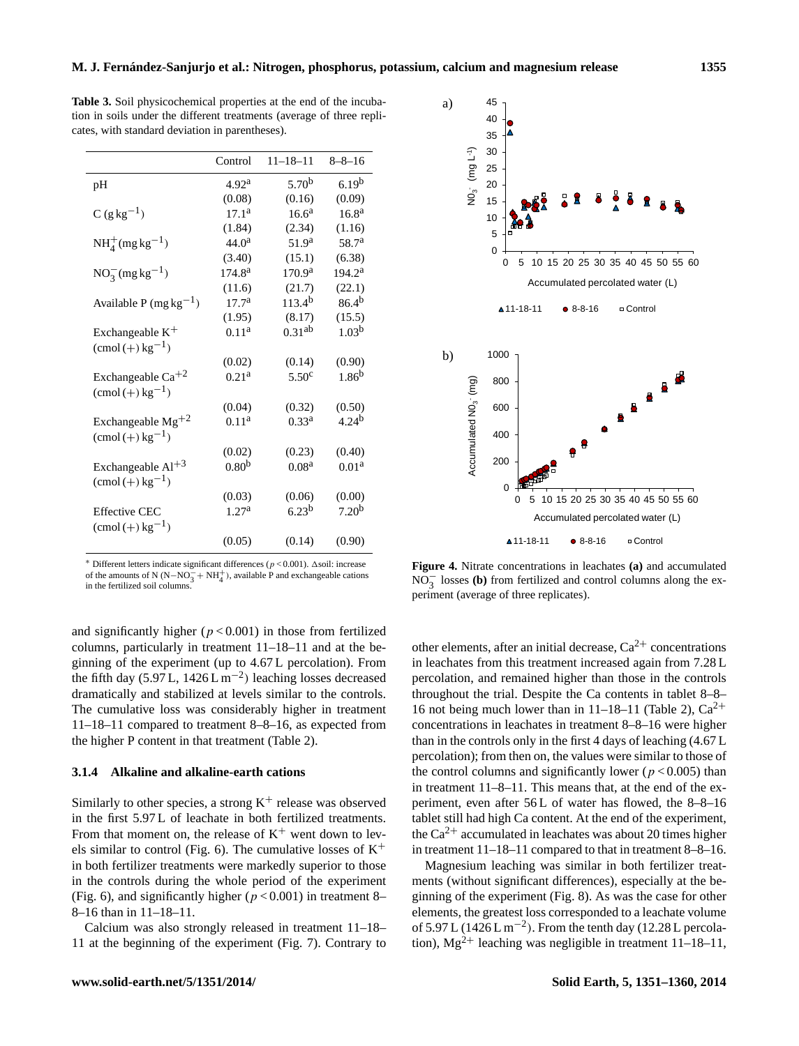**Table 3.** Soil physicochemical properties at the end of the incubation in soils under the different treatments (average of three replicates, with standard deviation in parentheses).

|                             | Control            | $11 - 18 - 11$     | $8 - 8 - 16$       |
|-----------------------------|--------------------|--------------------|--------------------|
| pH                          | 4.92 <sup>a</sup>  | $5.70^{b}$         | 6.19 <sup>b</sup>  |
|                             | (0.08)             | (0.16)             | (0.09)             |
| $C (g kg^{-1})$             | $17.1^{\rm a}$     | $16.6^{\rm a}$     | 16.8 <sup>a</sup>  |
|                             | (1.84)             | (2.34)             | (1.16)             |
| $NH_4^+ (mg \, kg^{-1})$    | 44.0 <sup>a</sup>  | 51.9 <sup>a</sup>  | 58.7 <sup>a</sup>  |
|                             | (3.40)             | (15.1)             | (6.38)             |
| $NO_3^-(mg\,kg^{-1})$       | 174.8 <sup>a</sup> | 170.9 <sup>a</sup> | 194.2 <sup>a</sup> |
|                             | (11.6)             | (21.7)             | (22.1)             |
| Available P (mg $kg^{-1}$ ) | 17.7 <sup>a</sup>  | $113.4^{b}$        | 86.4 <sup>b</sup>  |
|                             | (1.95)             | (8.17)             | (15.5)             |
| Exchangeable $K^+$          | $0.11^{\rm a}$     | 0.31 <sup>ab</sup> | 1.03 <sup>b</sup>  |
| $\text{(cmol (+) kg}^{-1})$ |                    |                    |                    |
|                             | (0.02)             | (0.14)             | (0.90)             |
| Exchangeable $Ca^{+2}$      | 0.21 <sup>a</sup>  | 5.50 <sup>c</sup>  | 1.86 <sup>b</sup>  |
| $\text{(cmol (+) kg}^{-1})$ |                    |                    |                    |
|                             | (0.04)             | (0.32)             | (0.50)             |
| Exchangeable $Mg^{+2}$      | 0.11 <sup>a</sup>  | 0.33 <sup>a</sup>  | 4.24 <sup>b</sup>  |
| $\text{(cmol (+) kg}^{-1})$ |                    |                    |                    |
|                             | (0.02)             | (0.23)             | (0.40)             |
| Exchangeable $Al+3$         | 0.80 <sup>b</sup>  | 0.08 <sup>a</sup>  | 0.01 <sup>a</sup>  |
| $\text{(cmol (+) kg}^{-1})$ |                    |                    |                    |
|                             | (0.03)             | (0.06)             | (0.00)             |
| <b>Effective CEC</b>        | 1.27 <sup>a</sup>  | $6.23^{b}$         | 7.20 <sup>b</sup>  |
| $\text{(cmol (+) kg}^{-1})$ |                    |                    |                    |
|                             | (0.05)             | (0.14)             | (0.90)             |



<sup>\*</sup> Different letters indicate significant differences ( $p$  < 0.001). Δsoil: increase of the amounts of N (N–NO<sub>3</sub><sup>+</sup> NH<sub>4</sub><sup>+</sup>), available P and exchangeable cations in the fertilized soil columns.

and significantly higher  $(p < 0.001)$  in those from fertilized columns, particularly in treatment 11–18–11 and at the beginning of the experiment (up to 4.67 L percolation). From the fifth day (5.97 L,  $1426 L m^{-2}$ ) leaching losses decreased dramatically and stabilized at levels similar to the controls. The cumulative loss was considerably higher in treatment 11–18–11 compared to treatment 8–8–16, as expected from the higher P content in that treatment (Table 2).

# **3.1.4 Alkaline and alkaline-earth cations**

Similarly to other species, a strong  $K^+$  release was observed in the first 5.97 L of leachate in both fertilized treatments. From that moment on, the release of  $K^+$  went down to levels similar to control (Fig. 6). The cumulative losses of  $K^+$ in both fertilizer treatments were markedly superior to those in the controls during the whole period of the experiment (Fig. 6), and significantly higher ( $p < 0.001$ ) in treatment 8– 8–16 than in 11–18–11. in the first 5.97 L of leachate in both fertilized treatments.<br>
From that moment on, the release of K<sup>+</sup> went down to lev-<br>
the Ca<sup>2+</sup> accumulated in leachates was about 20 times higher<br>
els similar to control (Fig. 6). T

Calcium was also strongly released in treatment 11–18–

 $F_{\text{m}}$  (a) exage of antice repressions in  $\frac{1}{2}$  $\alpha$  losses of three represents). **Figure 4.** Nitrate concentrations in leachates **(a)** and accumulated  $N\overline{O}_3^-$  losses (b) from fertilized and control columns along the experiment (average of three replicates).

other elements, after an initial decrease,  $Ca^{2+}$  concentrations in leachates from this treatment increased again from 7.28 L percolation, and remained higher than those in the controls throughout the trial. Despite the Ca contents in tablet 8–8– 16 not being much lower than in 11–18–11 (Table 2),  $Ca^{2+}$ concentrations in leachates in treatment 8–8–16 were higher than in the controls only in the first 4 days of leaching (4.67 L percolation); from then on, the values were similar to those of the control columns and significantly lower ( $p < 0.005$ ) than in treatment 11–8–11. This means that, at the end of the experiment, even after 56 L of water has flowed, the 8–8–16 tablet still had high Ca content. At the end of the experiment, the  $Ca^{2+}$  accumulated in leachates was about 20 times higher in treatment 11–18–11 compared to that in treatment 8–8–16.

Magnesium leaching was similar in both fertilizer treatments (without significant differences), especially at the beginning of the experiment (Fig. 8). As was the case for other elements, the greatest loss corresponded to a leachate volume of 5.97 L ( $1426$  L m<sup>-2</sup>). From the tenth day ( $12.28$  L percolation),  $Mg^{2+}$  leaching was negligible in treatment 11–18–11,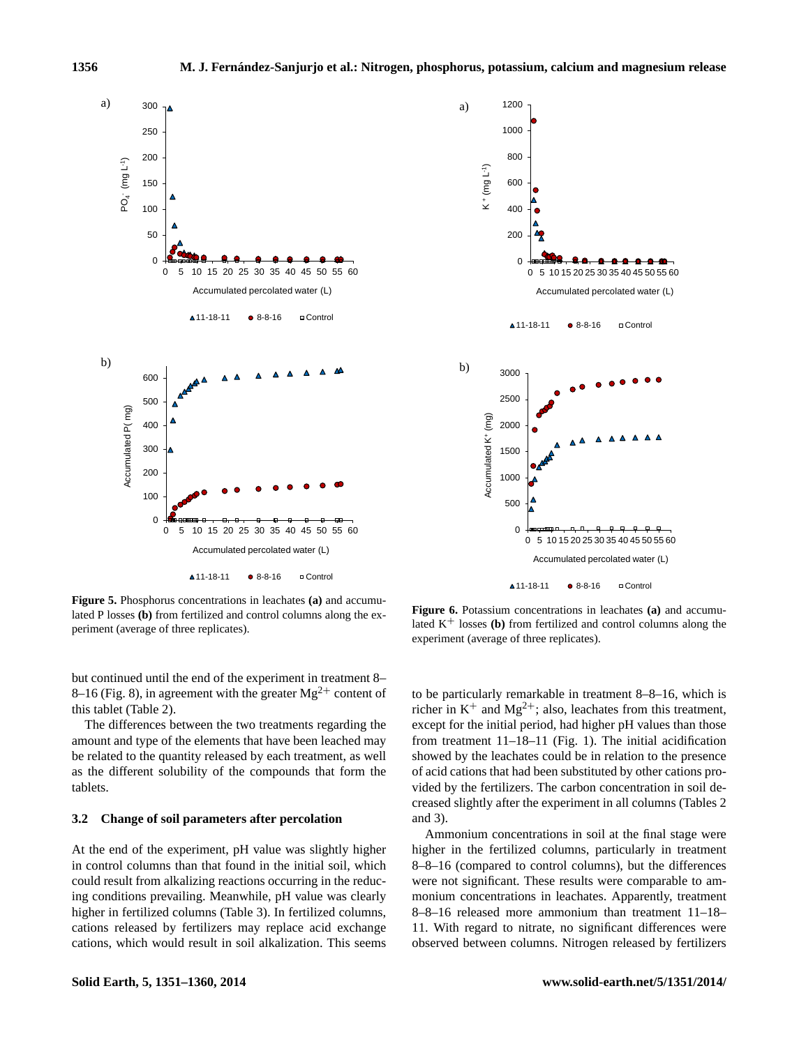



lated P losses **(b)** from fertilized and control columns along the ex-<br>lated P losses (b) from fertilized and control columns along the ex-<br>lated  $\frac{1}{2}$  and  $\frac{1}{2}$  and  $\frac{1}{2}$  and  $\frac{1}{2}$  and  $\frac{1}{2}$  and  $\frac{1$ periment (average of three replicates). The experiment (average of three replicates). **Figure 5.** Phosphorus concentrations in leachates **(a)** and accumu-

but continued until the end of the experiment in treatment 8– 8–16 (Fig. 8), in agreement with the greater  $Mg^{2+}$  content of this tablet (Table 2).

The differences between the two treatments regarding the amount and type of the elements that have been leached may be related to the quantity released by each treatment, as well as the different solubility of the compounds that form the tablets.

## **3.2 Change of soil parameters after percolation**

At the end of the experiment, pH value was slightly higher in control columns than that found in the initial soil, which could result from alkalizing reactions occurring in the reducing conditions prevailing. Meanwhile, pH value was clearly higher in fertilized columns (Table 3). In fertilized columns, cations released by fertilizers may replace acid exchange

Lated  $K^+$  losses (b) from fertilized and control columns along the experiment (average of three replicates). **Figure 6.** Potassium concentrations in leachates **(a)** and accumu-

vided by the fertilizers. The carbon concentration in soil deto be particularly remarkable in treatment 8–8–16, which is richer in  $K^+$  and  $Mg^{2+}$ ; also, leachates from this treatment, except for the initial period, had higher pH values than those from treatment 11–18–11 (Fig. 1). The initial acidification showed by the leachates could be in relation to the presence of acid cations that had been substituted by other cations procreased slightly after the experiment in all columns (Tables 2 and 3).

as the different solubility of the compounds that form the<br>
as the different solubility of the compounds that form the<br>
of acid cations that had been substituted by other cations pro-<br>
vided by the fertilizers. The carbon Ammonium concentrations in soil at the final stage were higher in the fertilized columns, particularly in treatment 8–8–16 (compared to control columns), but the differences were not significant. These results were comparable to ammonium concentrations in leachates. Apparently, treatment 8–8–16 released more ammonium than treatment 11–18– 11. With regard to nitrate, no significant differences were observed between columns. Nitrogen released by fertilizers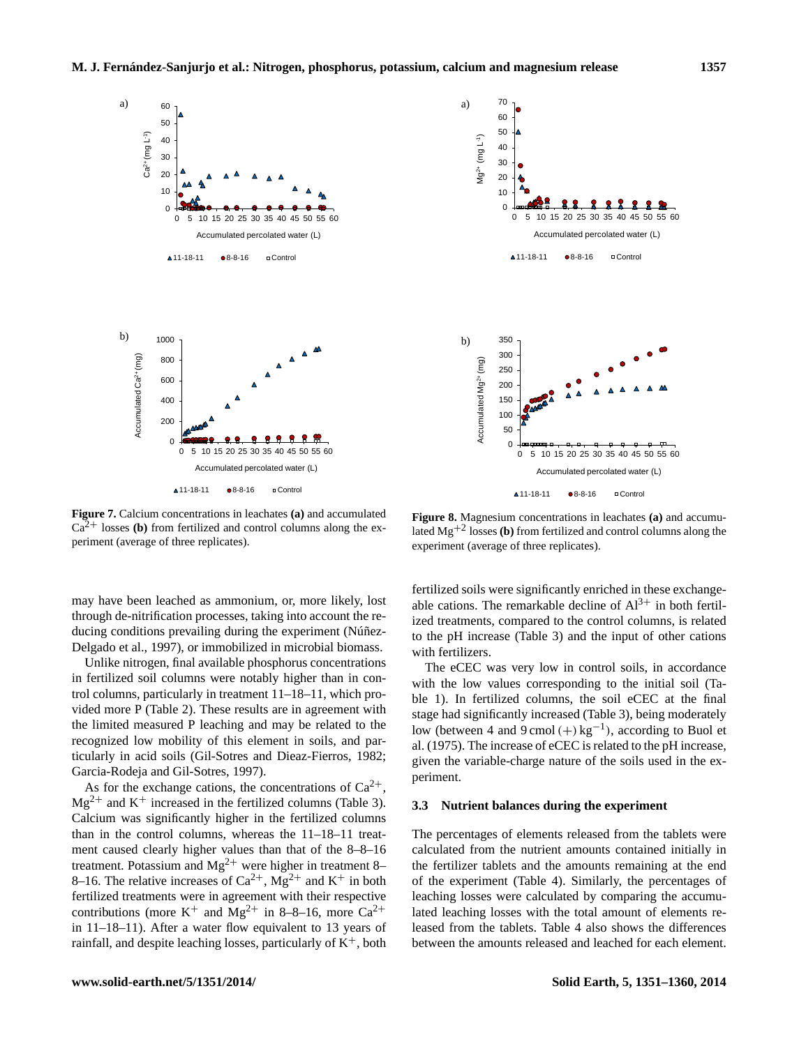

Figure 8. Magnesium concentrations in leachates (a) and accumulated Figure 8. Magnesium concentrations in leachates (a) and accumulated Figure 8. Magnesium concentrations in leachates (a) and control columns along the experiment (average of three replicates). experiment (average of three replicates). **Figure 7.** Calcium concentrations in leachates **(a)** and accumulated

may have been leached as ammonium, or, more likely, lost through de-nitrification processes, taking into account the reducing conditions prevailing during the experiment (Núñez-Delgado et al., 1997), or immobilized in microbial biomass.

Unlike nitrogen, final available phosphorus concentrations in fertilized soil columns were notably higher than in control columns, particularly in treatment 11–18–11, which provided more P (Table 2). These results are in agreement with the limited measured P leaching and may be related to the recognized low mobility of this element in soils, and particularly in acid soils (Gil-Sotres and Dieaz-Fierros, 1982; Garcia-Rodeja and Gil-Sotres, 1997).

As for the exchange cations, the concentrations of  $Ca^{2+}$ ,  $Mg^{2+}$  and K<sup>+</sup> increased in the fertilized columns (Table 3). Calcium was significantly higher in the fertilized columns than in the control columns, whereas the 11–18–11 treatment caused clearly higher values than that of the 8–8–16 treatment. Potassium and  $Mg^{2+}$  were higher in treatment 8– 8–16. The relative increases of  $Ca^{2+}$ ,  $Mg^{2+}$  and  $K^+$  in both fertilized treatments were in agreement with their respective contributions (more  $K^+$  and  $Mg^{2+}$  in 8–8–16, more  $Ca^{2+}$ in 11–18–11). After a water flow equivalent to 13 years of trol columns, particularly in treatment 11–18–11, which pro-<br>
to the 10. In fertilized columns, the soil eCEC at the final<br>
vided more P (Table 2). These results are in agreement with<br>
stage had significantly increased (T



Figure 8. Magnesium concentrations in retenutive  $\alpha$ , and accumulated Mg<sup>+2</sup> losses (**b**) from fertilized and control columns along the experiment (average of three replicates). **Figure 8.**Magnesium concentrations in leachates **(a)** and accumu-

fertilized soils were significantly enriched in these exchangeable cations. The remarkable decline of  $Al^{3+}$  in both fertilized treatments, compared to the control columns, is related to the pH increase (Table 3) and the input of other cations with fertilizers.

with the low values corresponding to the initial soil (Ta-The eCEC was very low in control soils, in accordance ble 1). In fertilized columns, the soil eCEC at the final stage had significantly increased (Table 3), being moderately low (between 4 and  $9 \text{ cmol } (+) \text{ kg}^{-1}$ ), according to Buol et al. (1975). The increase of eCEC is related to the pH increase, given the variable-charge nature of the soils used in the experiment.

# **3.3 Nutrient balances during the experiment**

The percentages of elements released from the tablets were calculated from the nutrient amounts contained initially in the fertilizer tablets and the amounts remaining at the end of the experiment (Table 4). Similarly, the percentages of leaching losses were calculated by comparing the accumulated leaching losses with the total amount of elements released from the tablets. Table 4 also shows the differences between the amounts released and leached for each element.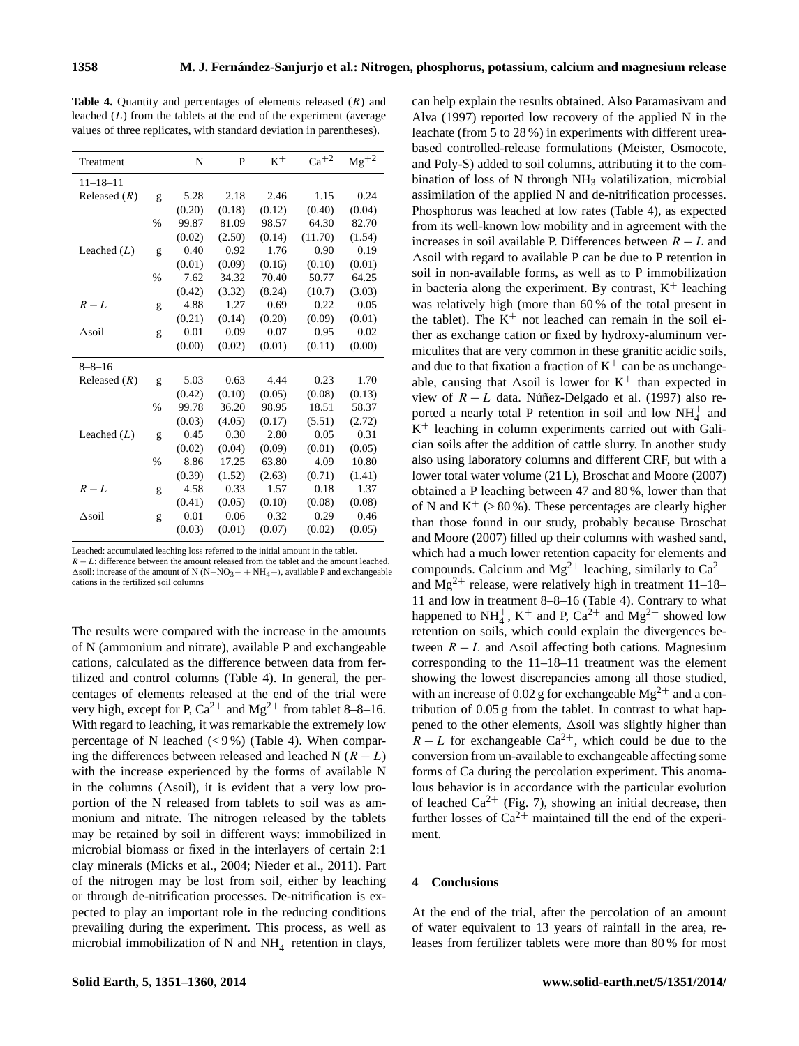**Table 4.** Quantity and percentages of elements released (R) and leached  $(L)$  from the tablets at the end of the experiment (average values of three replicates, with standard deviation in parentheses).

| Treatment      |               | N      | P      | $K^+$  | $Ca^{+2}$ | $Mg^{+2}$ |
|----------------|---------------|--------|--------|--------|-----------|-----------|
| $11 - 18 - 11$ |               |        |        |        |           |           |
| Released $(R)$ | g             | 5.28   | 2.18   | 2.46   | 1.15      | 0.24      |
|                |               | (0.20) | (0.18) | (0.12) | (0.40)    | (0.04)    |
|                | %             | 99.87  | 81.09  | 98.57  | 64.30     | 82.70     |
|                |               | (0.02) | (2.50) | (0.14) | (11.70)   | (1.54)    |
| Leached $(L)$  | g             | 0.40   | 0.92   | 1.76   | 0.90      | 0.19      |
|                |               | (0.01) | (0.09) | (0.16) | (0.10)    | (0.01)    |
|                | $\frac{0}{0}$ | 7.62   | 34.32  | 70.40  | 50.77     | 64.25     |
|                |               | (0.42) | (3.32) | (8.24) | (10.7)    | (3.03)    |
| $R - L$        | g             | 4.88   | 1.27   | 0.69   | 0.22      | 0.05      |
|                |               | (0.21) | (0.14) | (0.20) | (0.09)    | (0.01)    |
| Asoil          | g             | 0.01   | 0.09   | 0.07   | 0.95      | 0.02      |
|                |               | (0.00) | (0.02) | (0.01) | (0.11)    | (0.00)    |
| $8 - 8 - 16$   |               |        |        |        |           |           |
| Released $(R)$ | g             | 5.03   | 0.63   | 4.44   | 0.23      | 1.70      |
|                |               | (0.42) | (0.10) | (0.05) | (0.08)    | (0.13)    |
|                | $\frac{0}{0}$ | 99.78  | 36.20  | 98.95  | 18.51     | 58.37     |
|                |               | (0.03) | (4.05) | (0.17) | (5.51)    | (2.72)    |
| Leached $(L)$  | g             | 0.45   | 0.30   | 2.80   | 0.05      | 0.31      |
|                |               | (0.02) | (0.04) | (0.09) | (0.01)    | (0.05)    |
|                | $\%$          | 8.86   | 17.25  | 63.80  | 4.09      | 10.80     |
|                |               | (0.39) | (1.52) | (2.63) | (0.71)    | (1.41)    |
| $R - L$        | g             | 4.58   | 0.33   | 1.57   | 0.18      | 1.37      |
|                |               | (0.41) | (0.05) | (0.10) | (0.08)    | (0.08)    |
| Asoil          | g             | 0.01   | 0.06   | 0.32   | 0.29      | 0.46      |
|                |               | (0.03) | (0.01) | (0.07) | (0.02)    | (0.05)    |

Leached: accumulated leaching loss referred to the initial amount in the tablet.

 $R - L$ : difference between the amount released from the tablet and the amount leached.  $\Delta$ soil: increase of the amount of N (N−NO<sub>3</sub>− + NH<sub>4</sub>+), available P and exchangeable cations in the fertilized soil columns

The results were compared with the increase in the amounts of N (ammonium and nitrate), available P and exchangeable cations, calculated as the difference between data from fertilized and control columns (Table 4). In general, the percentages of elements released at the end of the trial were very high, except for P,  $Ca^{2+}$  and  $Mg^{2+}$  from tablet 8–8–16. With regard to leaching, it was remarkable the extremely low percentage of N leached  $(< 9\%)$  (Table 4). When comparing the differences between released and leached N  $(R - L)$ with the increase experienced by the forms of available N in the columns ( $\Delta$ soil), it is evident that a very low proportion of the N released from tablets to soil was as ammonium and nitrate. The nitrogen released by the tablets may be retained by soil in different ways: immobilized in microbial biomass or fixed in the interlayers of certain 2:1 clay minerals (Micks et al., 2004; Nieder et al., 2011). Part of the nitrogen may be lost from soil, either by leaching or through de-nitrification processes. De-nitrification is expected to play an important role in the reducing conditions prevailing during the experiment. This process, as well as microbial immobilization of N and  $NH<sub>4</sub><sup>+</sup>$  retention in clays,

can help explain the results obtained. Also Paramasivam and Alva (1997) reported low recovery of the applied N in the leachate (from 5 to 28 %) in experiments with different ureabased controlled-release formulations (Meister, Osmocote, and Poly-S) added to soil columns, attributing it to the combination of loss of N through NH<sub>3</sub> volatilization, microbial assimilation of the applied N and de-nitrification processes. Phosphorus was leached at low rates (Table 4), as expected from its well-known low mobility and in agreement with the increases in soil available P. Differences between  $R - L$  and  $\Delta$ soil with regard to available P can be due to P retention in soil in non-available forms, as well as to P immobilization in bacteria along the experiment. By contrast,  $K^+$  leaching was relatively high (more than 60 % of the total present in the tablet). The  $K^+$  not leached can remain in the soil either as exchange cation or fixed by hydroxy-aluminum vermiculites that are very common in these granitic acidic soils, and due to that fixation a fraction of  $K^+$  can be as unchangeable, causing that  $\Delta$ soil is lower for K<sup>+</sup> than expected in view of R − L data. Núñez-Delgado et al. (1997) also reported a nearly total P retention in soil and low  $NH_4^+$  and K <sup>+</sup> leaching in column experiments carried out with Galician soils after the addition of cattle slurry. In another study also using laboratory columns and different CRF, but with a lower total water volume (21 L), Broschat and Moore (2007) obtained a P leaching between 47 and 80 %, lower than that of N and  $K^+$  (> 80 %). These percentages are clearly higher than those found in our study, probably because Broschat and Moore (2007) filled up their columns with washed sand, which had a much lower retention capacity for elements and compounds. Calcium and Mg<sup>2+</sup> leaching, similarly to  $Ca^{2+}$ and  $Mg^{2+}$  release, were relatively high in treatment 11–18– 11 and low in treatment 8–8–16 (Table 4). Contrary to what happened to  $NH_4^+$ ,  $K^+$  and P,  $Ca^{2+}$  and  $Mg^{2+}$  showed low retention on soils, which could explain the divergences between  $R - L$  and  $\Delta$ soil affecting both cations. Magnesium corresponding to the 11–18–11 treatment was the element showing the lowest discrepancies among all those studied, with an increase of 0.02 g for exchangeable  $Mg^{2+}$  and a contribution of 0.05 g from the tablet. In contrast to what happened to the other elements,  $\Delta$ soil was slightly higher than  $R - L$  for exchangeable Ca<sup>2+</sup>, which could be due to the conversion from un-available to exchangeable affecting some forms of Ca during the percolation experiment. This anomalous behavior is in accordance with the particular evolution of leached  $Ca^{2+}$  (Fig. 7), showing an initial decrease, then further losses of  $Ca^{2+}$  maintained till the end of the experiment.

# **4 Conclusions**

At the end of the trial, after the percolation of an amount of water equivalent to 13 years of rainfall in the area, releases from fertilizer tablets were more than 80 % for most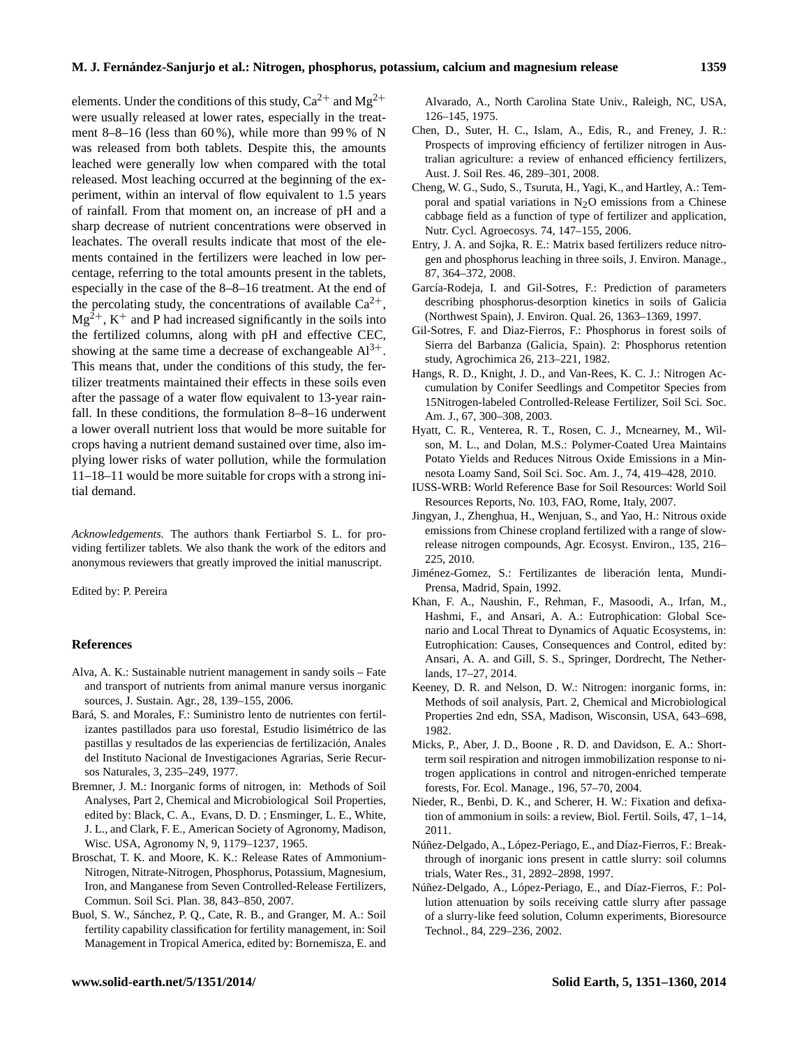elements. Under the conditions of this study,  $Ca^{2+}$  and  $Mg^{2+}$ were usually released at lower rates, especially in the treatment 8–8–16 (less than  $60\%$ ), while more than 99% of N was released from both tablets. Despite this, the amounts leached were generally low when compared with the total released. Most leaching occurred at the beginning of the experiment, within an interval of flow equivalent to 1.5 years of rainfall. From that moment on, an increase of pH and a sharp decrease of nutrient concentrations were observed in leachates. The overall results indicate that most of the elements contained in the fertilizers were leached in low percentage, referring to the total amounts present in the tablets, especially in the case of the 8–8–16 treatment. At the end of the percolating study, the concentrations of available  $Ca^{2+}$ ,  $Mg^{2+}$ , K<sup>+</sup> and P had increased significantly in the soils into the fertilized columns, along with pH and effective CEC, showing at the same time a decrease of exchangeable  $Al^{3+}$ . This means that, under the conditions of this study, the fertilizer treatments maintained their effects in these soils even after the passage of a water flow equivalent to 13-year rainfall. In these conditions, the formulation 8–8–16 underwent a lower overall nutrient loss that would be more suitable for crops having a nutrient demand sustained over time, also implying lower risks of water pollution, while the formulation 11–18–11 would be more suitable for crops with a strong initial demand.

*Acknowledgements.* The authors thank Fertiarbol S. L. for providing fertilizer tablets. We also thank the work of the editors and anonymous reviewers that greatly improved the initial manuscript.

Edited by: P. Pereira

#### **References**

- Alva, A. K.: Sustainable nutrient management in sandy soils Fate and transport of nutrients from animal manure versus inorganic sources, J. Sustain. Agr., 28, 139–155, 2006.
- Bará, S. and Morales, F.: Suministro lento de nutrientes con fertilizantes pastillados para uso forestal, Estudio lisimétrico de las pastillas y resultados de las experiencias de fertilización, Anales del Instituto Nacional de Investigaciones Agrarias, Serie Recursos Naturales, 3, 235–249, 1977.
- Bremner, J. M.: Inorganic forms of nitrogen, in: Methods of Soil Analyses, Part 2, Chemical and Microbiological Soil Properties, edited by: Black, C. A., Evans, D. D. ; Ensminger, L. E., White, J. L., and Clark, F. E., American Society of Agronomy, Madison, Wisc. USA, Agronomy N, 9, 1179–1237, 1965.
- Broschat, T. K. and Moore, K. K.: Release Rates of Ammonium-Nitrogen, Nitrate-Nitrogen, Phosphorus, Potassium, Magnesium, Iron, and Manganese from Seven Controlled-Release Fertilizers, Commun. Soil Sci. Plan. 38, 843–850, 2007.
- Buol, S. W., Sánchez, P. Q., Cate, R. B., and Granger, M. A.: Soil fertility capability classification for fertility management, in: Soil Management in Tropical America, edited by: Bornemisza, E. and

Alvarado, A., North Carolina State Univ., Raleigh, NC, USA, 126–145, 1975.

- Chen, D., Suter, H. C., Islam, A., Edis, R., and Freney, J. R.: Prospects of improving efficiency of fertilizer nitrogen in Australian agriculture: a review of enhanced efficiency fertilizers, Aust. J. Soil Res. 46, 289–301, 2008.
- Cheng, W. G., Sudo, S., Tsuruta, H., Yagi, K., and Hartley, A.: Temporal and spatial variations in  $N<sub>2</sub>O$  emissions from a Chinese cabbage field as a function of type of fertilizer and application, Nutr. Cycl. Agroecosys. 74, 147–155, 2006.
- Entry, J. A. and Sojka, R. E.: Matrix based fertilizers reduce nitrogen and phosphorus leaching in three soils, J. Environ. Manage., 87, 364–372, 2008.
- García-Rodeja, I. and Gil-Sotres, F.: Prediction of parameters describing phosphorus-desorption kinetics in soils of Galicia (Northwest Spain), J. Environ. Qual. 26, 1363–1369, 1997.
- Gil-Sotres, F. and Diaz-Fierros, F.: Phosphorus in forest soils of Sierra del Barbanza (Galicia, Spain). 2: Phosphorus retention study, Agrochimica 26, 213–221, 1982.
- Hangs, R. D., Knight, J. D., and Van-Rees, K. C. J.: Nitrogen Accumulation by Conifer Seedlings and Competitor Species from 15Nitrogen-labeled Controlled-Release Fertilizer, Soil Sci. Soc. Am. J., 67, 300–308, 2003.
- Hyatt, C. R., Venterea, R. T., Rosen, C. J., Mcnearney, M., Wilson, M. L., and Dolan, M.S.: Polymer-Coated Urea Maintains Potato Yields and Reduces Nitrous Oxide Emissions in a Minnesota Loamy Sand, Soil Sci. Soc. Am. J., 74, 419–428, 2010.
- IUSS-WRB: World Reference Base for Soil Resources: World Soil Resources Reports, No. 103, FAO, Rome, Italy, 2007.
- Jingyan, J., Zhenghua, H., Wenjuan, S., and Yao, H.: Nitrous oxide emissions from Chinese cropland fertilized with a range of slowrelease nitrogen compounds, Agr. Ecosyst. Environ., 135, 216– 225, 2010.
- Jiménez-Gomez, S.: Fertilizantes de liberación lenta, Mundi-Prensa, Madrid, Spain, 1992.
- Khan, F. A., Naushin, F., Rehman, F., Masoodi, A., Irfan, M., Hashmi, F., and Ansari, A. A.: Eutrophication: Global Scenario and Local Threat to Dynamics of Aquatic Ecosystems, in: Eutrophication: Causes, Consequences and Control, edited by: Ansari, A. A. and Gill, S. S., Springer, Dordrecht, The Netherlands, 17–27, 2014.
- Keeney, D. R. and Nelson, D. W.: Nitrogen: inorganic forms, in: Methods of soil analysis, Part. 2, Chemical and Microbiological Properties 2nd edn, SSA, Madison, Wisconsin, USA, 643–698, 1982.
- Micks, P., Aber, J. D., Boone , R. D. and Davidson, E. A.: Shortterm soil respiration and nitrogen immobilization response to nitrogen applications in control and nitrogen-enriched temperate forests, For. Ecol. Manage., 196, 57–70, 2004.
- Nieder, R., Benbi, D. K., and Scherer, H. W.: Fixation and defixation of ammonium in soils: a review, Biol. Fertil. Soils, 47, 1–14, 2011.
- Núñez-Delgado, A., López-Periago, E., and Díaz-Fierros, F.: Breakthrough of inorganic ions present in cattle slurry: soil columns trials, Water Res., 31, 2892–2898, 1997.
- Núñez-Delgado, A., López-Periago, E., and Díaz-Fierros, F.: Pollution attenuation by soils receiving cattle slurry after passage of a slurry-like feed solution, Column experiments, Bioresource Technol., 84, 229–236, 2002.